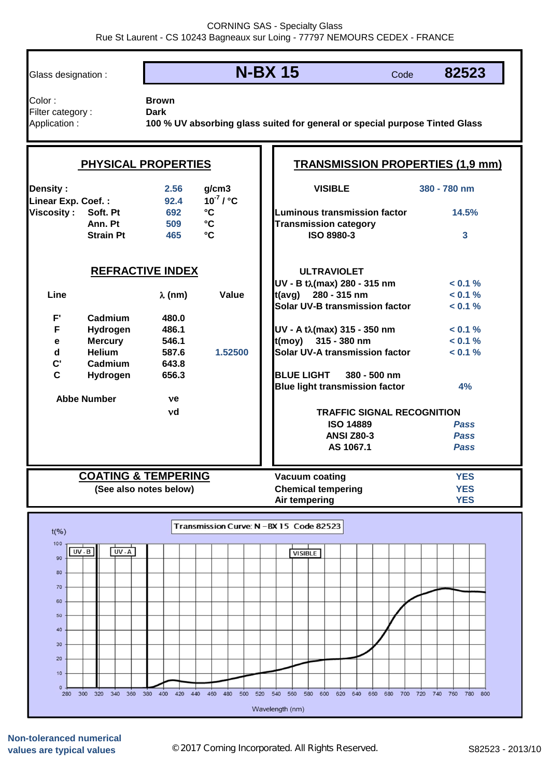## Glass designation : **N-BX 15**

Code **82523**

Color : **Brown** Filter category : **Dark** 

Application : **100 % UV absorbing glass suited for general or special purpose Tinted Glass**

## **PHYSICAL PROPERTIES TRANSMISSION PROPERTIES (1,9 mm) VISIBLE 380 - 780 nm Density : 2.56 g/cm3** 92.4 **10<sup>** $-7$ **</sup> / °C Linear Exp. Coef. : 692 °C 14.5% Viscosity : Soft. Pt Luminous transmission factor Ann. Pt 509 °C Transmission category Strain Pt 465 °C 3 ISO 8980-3 REFRACTIVE INDEX ULTRAVIOLET UV - Β tλ(max) 280 - 315 nm < 0.1 % Line** O **(nm) Value < 0.1 % t(avg) 280 - 315 nm Solar UV-B transmission factor < 0.1 % F' Cadmium 480.0 F** Hydrogen 486.1 50 nm < 0.1 % **e Mercury 546.1 < 0.1 % t(moy) 315 - 380 nm d Helium 587.6 1.52500 < 0.1 % Solar UV-A transmission factor C' Cadmium 643.8 C Hydrogen 656.3 BLUE LIGHT 380 - 500 nm Blue light transmission factor 4% Abbe Number** Q**e** Q**d TRAFFIC SIGNAL RECOGNITION ISO 14889** *Pass* **ANSI Z80-3** *Pass* **AS 1067.1** *Pass* **COATING & TEMPERING Vacuum coating YES (See also notes below) Chemical tempering YES Air tempering YES** Transmission Curve: N - BX 15 Code 82523  $t(%)$  $100$  $UV - B$  $UV - A$  $\sqrt{V(SIBLE)}$ 90 80  $70$ 60  $50$  $40$  $30<sup>2</sup>$  $20$  $10$  $\Omega$ 300 320 340 360 380 400 420 440 460 480 500 520 540 560 580 600 620 640 660 700 720 740 760 780 800  $280$ Wavelength (nm)